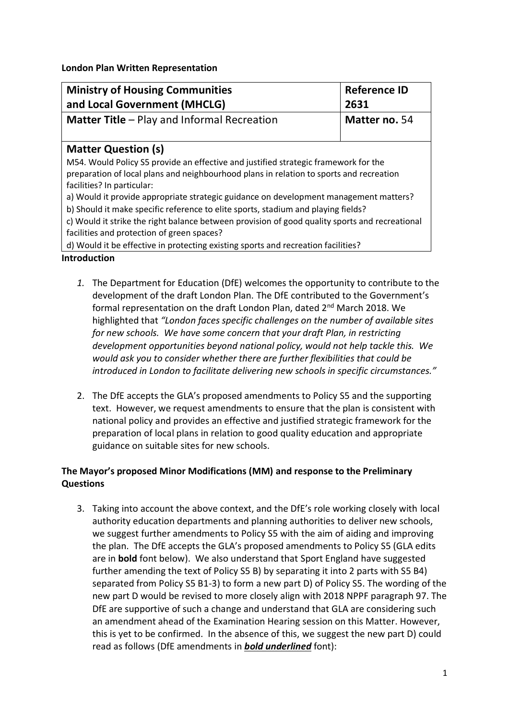**London Plan Written Representation**

| <b>Ministry of Housing Communities</b><br>and Local Government (MHCLG)                                                                                                                                       | <b>Reference ID</b><br>2631 |
|--------------------------------------------------------------------------------------------------------------------------------------------------------------------------------------------------------------|-----------------------------|
| <b>Matter Title - Play and Informal Recreation</b>                                                                                                                                                           | Matter no. 54               |
| <b>Matter Question (s)</b>                                                                                                                                                                                   |                             |
| M54. Would Policy S5 provide an effective and justified strategic framework for the<br>preparation of local plans and neighbourhood plans in relation to sports and recreation<br>facilities? In particular: |                             |
| a) Would it provide appropriate strategic guidance on development management matters?                                                                                                                        |                             |
| b) Should it make specific reference to elite sports, stadium and playing fields?                                                                                                                            |                             |
| c) Would it strike the right balance between provision of good quality sports and recreational<br>facilities and protection of green spaces?                                                                 |                             |
| d) Would it be effective in protecting existing sports and recreation facilities?                                                                                                                            |                             |

## **Introduction**

- *1.* The Department for Education (DfE) welcomes the opportunity to contribute to the development of the draft London Plan. The DfE contributed to the Government's formal representation on the draft London Plan, dated 2<sup>nd</sup> March 2018. We highlighted that *"London faces specific challenges on the number of available sites for new schools. We have some concern that your draft Plan, in restricting development opportunities beyond national policy, would not help tackle this. We would ask you to consider whether there are further flexibilities that could be introduced in London to facilitate delivering new schools in specific circumstances."*
- 2. The DfE accepts the GLA's proposed amendments to Policy S5 and the supporting text. However, we request amendments to ensure that the plan is consistent with national policy and provides an effective and justified strategic framework for the preparation of local plans in relation to good quality education and appropriate guidance on suitable sites for new schools.

## **The Mayor's proposed Minor Modifications (MM) and response to the Preliminary Questions**

3. Taking into account the above context, and the DfE's role working closely with local authority education departments and planning authorities to deliver new schools, we suggest further amendments to Policy S5 with the aim of aiding and improving the plan. The DfE accepts the GLA's proposed amendments to Policy S5 (GLA edits are in **bold** font below). We also understand that Sport England have suggested further amending the text of Policy S5 B) by separating it into 2 parts with S5 B4) separated from Policy S5 B1-3) to form a new part D) of Policy S5. The wording of the new part D would be revised to more closely align with 2018 NPPF paragraph 97. The DfE are supportive of such a change and understand that GLA are considering such an amendment ahead of the Examination Hearing session on this Matter. However, this is yet to be confirmed. In the absence of this, we suggest the new part D) could read as follows (DfE amendments in *bold underlined* font):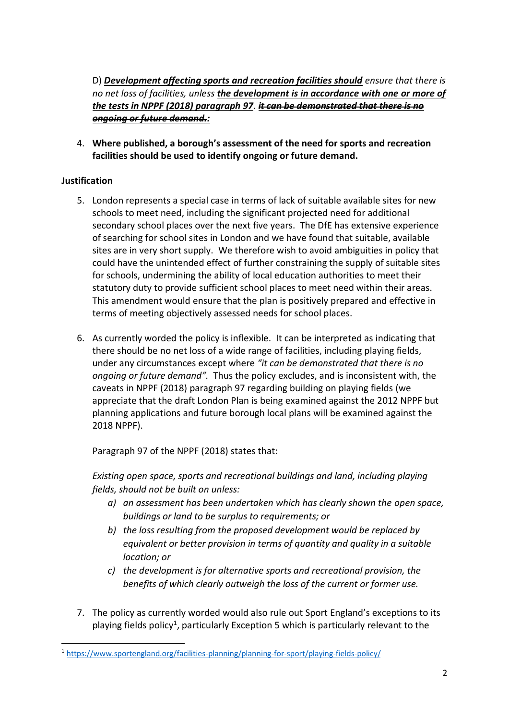D) *Development affecting sports and recreation facilities should ensure that there is no net loss of facilities, unless the development is in accordance with one or more of the tests in NPPF (2018) paragraph 97*. *it can be demonstrated that there is no ongoing or future demand.:*

4. **Where published, a borough's assessment of the need for sports and recreation facilities should be used to identify ongoing or future demand.** 

## **Justification**

- 5. London represents a special case in terms of lack of suitable available sites for new schools to meet need, including the significant projected need for additional secondary school places over the next five years. The DfE has extensive experience of searching for school sites in London and we have found that suitable, available sites are in very short supply. We therefore wish to avoid ambiguities in policy that could have the unintended effect of further constraining the supply of suitable sites for schools, undermining the ability of local education authorities to meet their statutory duty to provide sufficient school places to meet need within their areas. This amendment would ensure that the plan is positively prepared and effective in terms of meeting objectively assessed needs for school places.
- 6. As currently worded the policy is inflexible. It can be interpreted as indicating that there should be no net loss of a wide range of facilities, including playing fields, under any circumstances except where *"it can be demonstrated that there is no ongoing or future demand".* Thus the policy excludes, and is inconsistent with, the caveats in NPPF (2018) paragraph 97 regarding building on playing fields (we appreciate that the draft London Plan is being examined against the 2012 NPPF but planning applications and future borough local plans will be examined against the 2018 NPPF).

Paragraph 97 of the NPPF (2018) states that:

*Existing open space, sports and recreational buildings and land, including playing fields, should not be built on unless:* 

- *a) an assessment has been undertaken which has clearly shown the open space, buildings or land to be surplus to requirements; or*
- *b) the loss resulting from the proposed development would be replaced by equivalent or better provision in terms of quantity and quality in a suitable location; or*
- *c) the development is for alternative sports and recreational provision, the benefits of which clearly outweigh the loss of the current or former use.*
- 7. The policy as currently worded would also rule out Sport England's exceptions to its playing fields policy<sup>1</sup>, particularly Exception 5 which is particularly relevant to the

<sup>-</sup><sup>1</sup> <https://www.sportengland.org/facilities-planning/planning-for-sport/playing-fields-policy/>